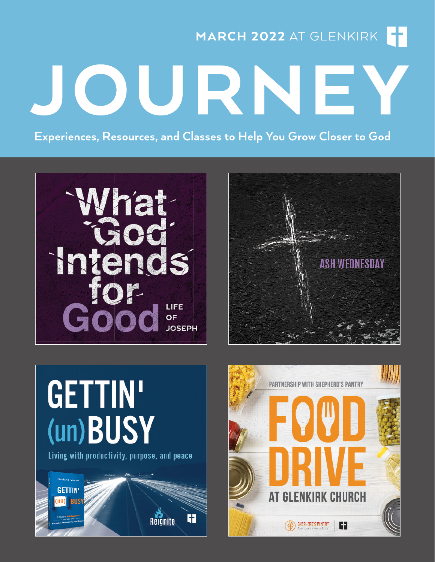MARCH 2022 AT GLENKIRK

Experiences, Resources, and Classes to Help You Grow Closer to God

JOURNE





# **GETTIN'** (un)BUSY

Living with productivity, purpose, and peace



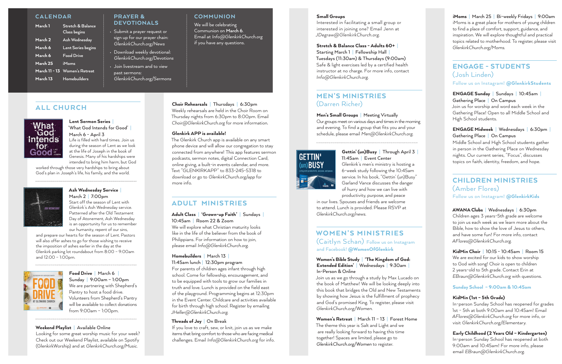#### PRAYER & DEVOTIONALS

- Submit a prayer request or sign up for our prayer chain: *GlenkirkChurch.org/News*
- Download weekly devotional: *GlenkirkChurch.org/Devotions*
- Join livestream and to view past sermons: *GlenkirkChurch.org/Sermons*

### **CALENDAR**

| March 1              | <b>Stretch &amp; Balance</b><br><b>Class</b> begins |
|----------------------|-----------------------------------------------------|
| March 2              | Ash Wednesday                                       |
| March 6              | Lent Series begins                                  |
| March 6              | <b>Food Drive</b>                                   |
| March 25             | iMoms                                               |
| <b>March 11 - 13</b> | <b>Women's Retreat</b>                              |
| March 13             | Homebuilders                                        |

# ALL CHURCH



#### Lent Sermon Series **|**  'What God Intends for Good' **|**

March 6 - April 3 Life is filled with hard times. Join us during the season of Lent as we look at the life of Joseph in the book of Genesis. Many of his hardships were intended to bring him harm, but God

worked through those very hardships to bring about God's plan in Joseph's life, his family, and the world.



# Ash Wednesday Service **|**

March 2 **|** 7:00pm Start off the season of Lent with Glenkirk's Ash Wednesday service. Patterned after the Old Testament Day of Atonement, Ash Wednesday is an opportunity for us to remember our humanity, repent of our sins,

and prepare our hearts for the season of Lent. Pastors will also offer ashes to go for those wishing to receive the imposition of ashes earlier in the day at the Glenkirk parking lot roundabout from 8:00 – 9:00am and 12:00 – 1:00pm.



## Food Drive **|** March 6 **|**  Sunday **|** 9:00am – 1:00pm We are partnering with Shepherd's Pantry to host a food drive. Volunteers from Shepherd's Pantry will be available to collect donations from 9:00am – 1:00pm.

### Weekend Playlist **|** Available Online

Looking for some great worship music for your week? Check out our Weekend Playlist, available on Spotify (GlenkirkWorship) and at *GlenkirkChurch.org/Music*.

## **COMMUNION**

#### Choir Rehearsals **|** Thursdays **|** 6:30pm Weekly rehearsals are held in the Choir Room on Thursday nights from 6:30pm to 8:00pm. Email

*Choir@GlenkirkChurch.org* for more information.

### Glenkirk APP is available!

The Glenkirk Church app is available on any smart phone device and will allow our congregation to stay connected from anywhere! This app features sermon podcasts, sermon notes, digital Connection Card, online giving, a built-in events calendar, and more. Text "GLENKIRKAPP" to 833-245-5318 to download or go to *GlenkirkChurch.org/app* for more info.

# ADULT MINISTRIES

#### Adult Class **|** 'Grown-up Faith' **|** Sundays **|**  10:45am **|** Room 22 & Zoom

We will explore what Christian maturity looks like in the life of the believer from the book of Philippians. For information on how to join, please email *Info@GlenkirkChurch.org.*

## Homebuilders **|** March 13 **|**

#### 11:45am lunch **|** 12:30pm program

For parents of children ages infant through high school. Come for fellowship, encouragement, and to be equipped with tools to grow our families in truth and love. Lunch is provided on the field east of the playground. Programming begins at 12:30pm in the Event Center. Childcare and activities available for birth through high school. Register by emailing *JHeller@GlenkirkChurch.org.*

### Threads of Joy **|** On Break

## KidMin Choir **|** 10:15 - 10:45am **|** Room 15 We are excited for our kids to show worship

If you love to craft, sew, or knit, join us as we make items that bring comfort to those who are facing medical challenges. Email *Info@GlenkirkChurch.org* for info.

#### Small Groups

Interested in facilitating a small group or interested in joining one? Email Jenn at *JDegraw@GlenkirkChurch.org*.

#### Stretch & Balance Class - Adults 60+ **|**

Starting March 1 **|** Fellowship Hall **|**  Tuesdays (11:30am) & Thursdays (9:00am) Safe & light exercises led by a certified health instructor at no charge. For more info, contact *Info@GlenkirkChurch.org*.

# MEN'S MINISTRIES (Darren Richer)

#### Men's Small Groups **|** Meeting Virtually

Our groups meet on various days and times in the morning and evening. To find a group that fits you and your schedule, please email *Men@GlenkirkChurch.org.*

# **GETTIN'** (un)**BUSY**

# Gettin' (un)Busy **|** Through April 3 **|**  11:45am **|** Event Center

Glenkirk's men's ministry is hosting a 6-week study following the 10:45am service. In his book, "Gettin' (un)Busy" Garland Vance discusses the danger of hurry and how we can live with productivity, purpose, and peace

in our lives. Spouses and friends are welcome to attend. Lunch is provided. Please RSVP at *GlenkirkChurch.org/news.*

# WOMEN'S MINISTRIES

(Caitlyn Schan) Follow us on Instagram and Facebook! @WomenOfGlenkirk

#### Women's Bible Study **|** 'The Kingdom of God: Extended Edition' **|** Wednesdays **|** 9:30am **|**  In-Person & Online

Join us as we go through a study by Max Lucado on the book of Matthew! We will be looking deeply into this book that bridges the Old and New Testaments by showing how Jesus is the fulfillment of prophecy and God's promised King. To register, please visit *GlenkirkChurch.org/Women*.

### Women's Retreat **|** March 11 – 13 **|** Forest Home The theme this year is Salt and Light and we are really looking forward to having this time together! Spaces are limited, please go to *GlenkirkChurch.org/Women* to register.

iMoms **|** March 25 **|** Bi-weekly Fridays **|** 9:00am iMoms is a great place for mothers of young children to find a place of comfort, support, guidance, and inspiration. We will explore thoughtful and practical topics related to motherhood. To register, please visit *GlenkirkChurch.org/Moms*.

# ENGAGE - STUDENTS (Josh Linden)

Follow us on Instagram! @GlenkirkStudents

## ENGAGE Sunday **|** Sundays **|** 10:45am **|**  Gathering Place **|** On Campus

Join us for worship and word each week in the Gathering Place! Open to all Middle School and High School students.

## ENGAGE Midweek **|** Wednesdays **|** 6:30pm **|**  Gathering Place **|** On Campus

Middle School and High School students gather in person in the Gathering Place on Wednesday nights. Our current series, "Focus", discusses topics on faith, identity, freedom, and hope.

# CHILDREN MINISTRIES (Amber Flores)

Follow us on Instagram! @GlenkirkKids

## AWANA Clubs **|** Wednesdays **|** 6:30pm

Children ages 3 years-5th grade are welcome to join us each week as we learn more about the Bible, how to show the love of Jesus to others, and have some fun! For more info, contact *AFlores@GlenkirkChurch.org*.

to God with song! Choir is open to children 2 years-old to 5th grade. Contact Erin at *EBraun@GlenkirkChurch.org* with questions.

## Sunday School – 9:00am & 10:45am

## KidMin (1st – 5th Grade)

In-person Sunday School has reopened for grades 1st - 5th at both 9:00am and 10:45am! Email *AFlores@GlenkirkChurch.org* for more info, or visit *GlenkirkChurch.org/Elementary*.

Early Childhood (2 Years Old – Kindergarten) In-person Sunday School has reopened at both 9:00am and 10:45am! For more info, please email *EBraun@GlenkirkChurch.org*.

We will be celebrating Communion on **March 6**. Email at *Info@GlenkirkChurch.org* if you have any questions.